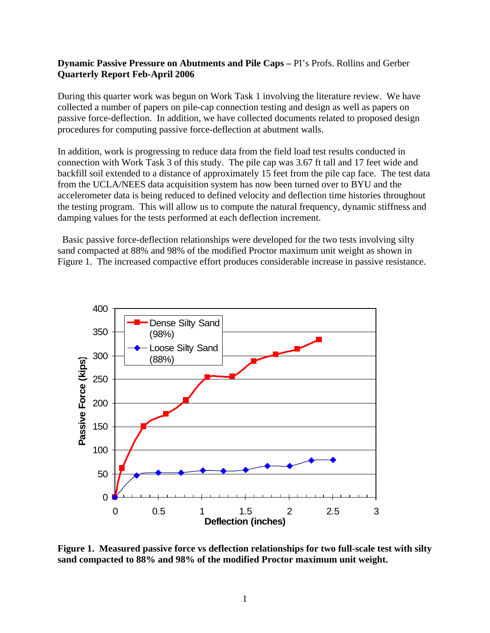## **Dynamic Passive Pressure on Abutments and Pile Caps –** PI's Profs. Rollins and Gerber **Quarterly Report Feb-April 2006**

During this quarter work was begun on Work Task 1 involving the literature review. We have collected a number of papers on pile-cap connection testing and design as well as papers on passive force-deflection. In addition, we have collected documents related to proposed design procedures for computing passive force-deflection at abutment walls.

In addition, work is progressing to reduce data from the field load test results conducted in connection with Work Task 3 of this study. The pile cap was 3.67 ft tall and 17 feet wide and backfill soil extended to a distance of approximately 15 feet from the pile cap face. The test data from the UCLA/NEES data acquisition system has now been turned over to BYU and the accelerometer data is being reduced to defined velocity and deflection time histories throughout the testing program. This will allow us to compute the natural frequency, dynamic stiffness and damping values for the tests performed at each deflection increment.

 Basic passive force-deflection relationships were developed for the two tests involving silty sand compacted at 88% and 98% of the modified Proctor maximum unit weight as shown in Figure 1. The increased compactive effort produces considerable increase in passive resistance.



**Figure 1. Measured passive force vs deflection relationships for two full-scale test with silty sand compacted to 88% and 98% of the modified Proctor maximum unit weight.**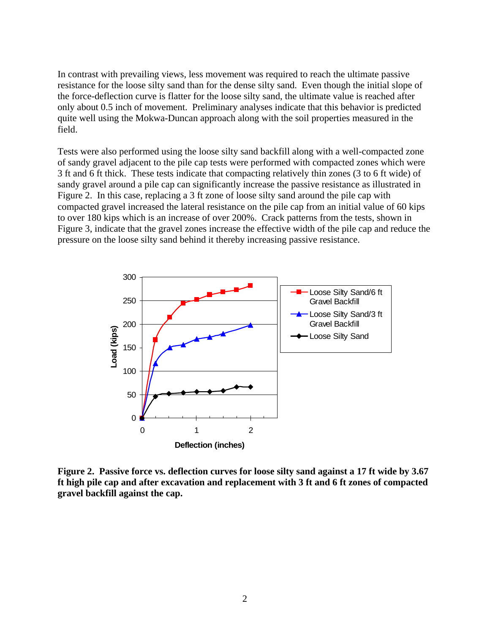In contrast with prevailing views, less movement was required to reach the ultimate passive resistance for the loose silty sand than for the dense silty sand. Even though the initial slope of the force-deflection curve is flatter for the loose silty sand, the ultimate value is reached after only about 0.5 inch of movement. Preliminary analyses indicate that this behavior is predicted quite well using the Mokwa-Duncan approach along with the soil properties measured in the field.

Tests were also performed using the loose silty sand backfill along with a well-compacted zone of sandy gravel adjacent to the pile cap tests were performed with compacted zones which were 3 ft and 6 ft thick. These tests indicate that compacting relatively thin zones (3 to 6 ft wide) of sandy gravel around a pile cap can significantly increase the passive resistance as illustrated in Figure 2. In this case, replacing a 3 ft zone of loose silty sand around the pile cap with compacted gravel increased the lateral resistance on the pile cap from an initial value of 60 kips to over 180 kips which is an increase of over 200%. Crack patterns from the tests, shown in Figure 3, indicate that the gravel zones increase the effective width of the pile cap and reduce the pressure on the loose silty sand behind it thereby increasing passive resistance.



**Figure 2. Passive force vs. deflection curves for loose silty sand against a 17 ft wide by 3.67 ft high pile cap and after excavation and replacement with 3 ft and 6 ft zones of compacted gravel backfill against the cap.**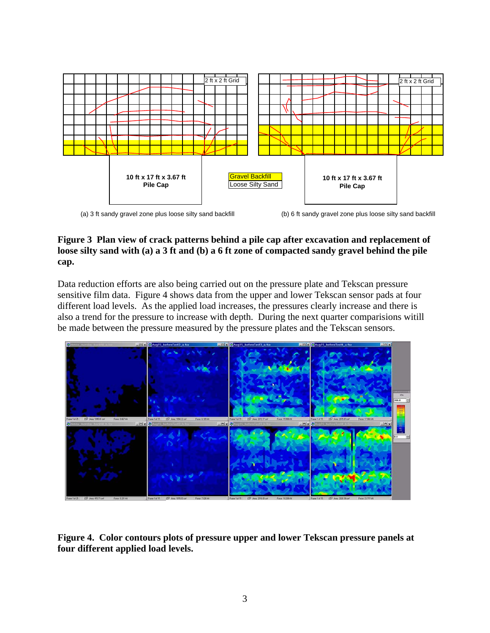

(a) 3 ft sandy gravel zone plus loose silty sand backfill (b) 6 ft sandy gravel zone plus loose silty sand backfill

## **Figure 3 Plan view of crack patterns behind a pile cap after excavation and replacement of loose silty sand with (a) a 3 ft and (b) a 6 ft zone of compacted sandy gravel behind the pile cap.**

Data reduction efforts are also being carried out on the pressure plate and Tekscan pressure sensitive film data. Figure 4 shows data from the upper and lower Tekscan sensor pads at four different load levels. As the applied load increases, the pressures clearly increase and there is also a trend for the pressure to increase with depth. During the next quarter comparisions witill be made between the pressure measured by the pressure plates and the Tekscan sensors.



**Figure 4. Color contours plots of pressure upper and lower Tekscan pressure panels at four different applied load levels.**